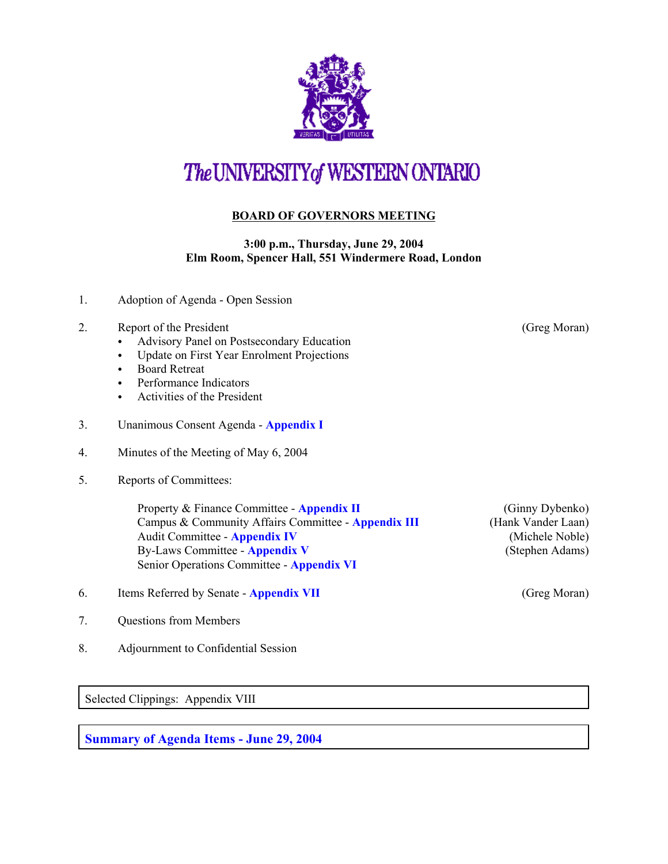

# The UNIVERSITY of WESTERN ONTARIO

## **BOARD OF GOVERNORS MEETING**

#### **3:00 p.m., Thursday, June 29, 2004 Elm Room, Spencer Hall, 551 Windermere Road, London**

- 1. Adoption of Agenda Open Session
- 2. Report of the President (Greg Moran)
	- Advisory Panel on Postsecondary Education
	- Update on First Year Enrolment Projections
	- Board Retreat
	- Performance Indicators
	- Activities of the President
- 3. Unanimous Consent Agenda **[Appendix I](r0406consent.pdf)**
- 4. Minutes of the Meeting of May 6, 2004
- 5. Reports of Committees:

Property & Finance Committee - **[Appendix II](r0406pf.pdf)** (Ginny Dybenko) Campus & Community Affairs Committee - **[Appendix III](r0406ccac.pdf)** (Hank Vander Laan) Audit Committee - **[Appendix IV](r0406aud.pdf)** (Michele Noble) By-Laws Committee - **[Appendix V](r0406bylaws.pdf)** (Stephen Adams) Senior Operations Committee - **[Appendix VI](r0406srops.pdf)**

- 6. Items Referred by Senate **[Appendix VII](r0406sen.pdf)** (Greg Moran)
- 7. Questions from Members
- 8. Adjournment to Confidential Session

Selected Clippings: Appendix VIII

**Summary of Agenda Items - June 29, 2004**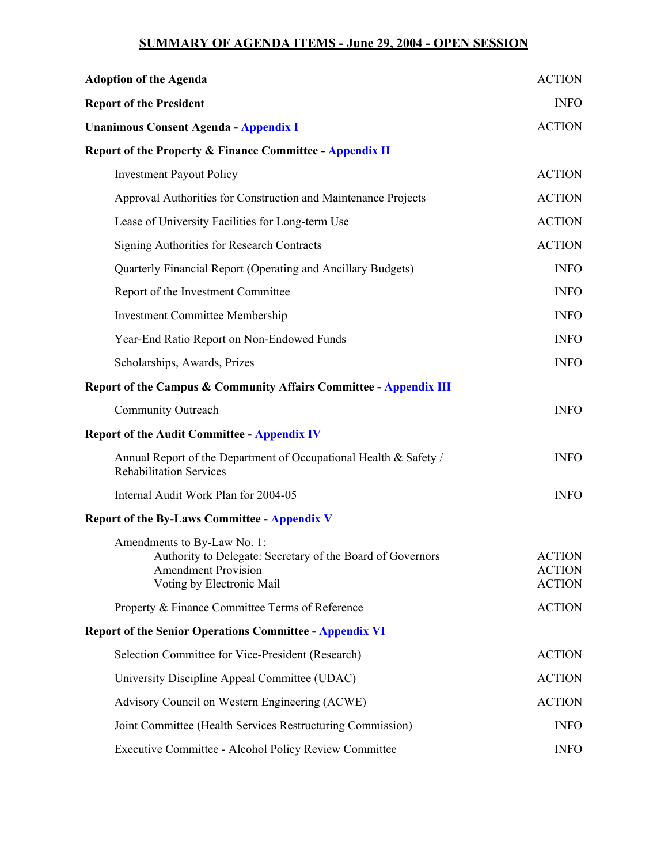### **SUMMARY OF AGENDA ITEMS - June 29, 2004 - OPEN SESSION**

| <b>Adoption of the Agenda</b>                                                                                                                        | <b>ACTION</b>                                   |
|------------------------------------------------------------------------------------------------------------------------------------------------------|-------------------------------------------------|
| <b>Report of the President</b>                                                                                                                       | <b>INFO</b>                                     |
| <b>Unanimous Consent Agenda - Appendix I</b>                                                                                                         | <b>ACTION</b>                                   |
| <b>Report of the Property &amp; Finance Committee - Appendix II</b>                                                                                  |                                                 |
| <b>Investment Payout Policy</b>                                                                                                                      | <b>ACTION</b>                                   |
| Approval Authorities for Construction and Maintenance Projects                                                                                       | <b>ACTION</b>                                   |
| Lease of University Facilities for Long-term Use                                                                                                     | <b>ACTION</b>                                   |
| <b>Signing Authorities for Research Contracts</b>                                                                                                    | <b>ACTION</b>                                   |
| Quarterly Financial Report (Operating and Ancillary Budgets)                                                                                         | <b>INFO</b>                                     |
| Report of the Investment Committee                                                                                                                   | <b>INFO</b>                                     |
| <b>Investment Committee Membership</b>                                                                                                               | <b>INFO</b>                                     |
| Year-End Ratio Report on Non-Endowed Funds                                                                                                           | <b>INFO</b>                                     |
| Scholarships, Awards, Prizes                                                                                                                         | <b>INFO</b>                                     |
| <b>Report of the Campus &amp; Community Affairs Committee - Appendix III</b>                                                                         |                                                 |
| Community Outreach                                                                                                                                   | <b>INFO</b>                                     |
| <b>Report of the Audit Committee - Appendix IV</b>                                                                                                   |                                                 |
| Annual Report of the Department of Occupational Health & Safety /<br><b>Rehabilitation Services</b>                                                  | <b>INFO</b>                                     |
| Internal Audit Work Plan for 2004-05                                                                                                                 | <b>INFO</b>                                     |
| <b>Report of the By-Laws Committee - Appendix V</b>                                                                                                  |                                                 |
| Amendments to By-Law No. 1:<br>Authority to Delegate: Secretary of the Board of Governors<br><b>Amendment Provision</b><br>Voting by Electronic Mail | <b>ACTION</b><br><b>ACTION</b><br><b>ACTION</b> |
| Property & Finance Committee Terms of Reference                                                                                                      | <b>ACTION</b>                                   |
| <b>Report of the Senior Operations Committee - Appendix VI</b>                                                                                       |                                                 |
| Selection Committee for Vice-President (Research)                                                                                                    | <b>ACTION</b>                                   |
| University Discipline Appeal Committee (UDAC)                                                                                                        | <b>ACTION</b>                                   |
| Advisory Council on Western Engineering (ACWE)                                                                                                       | <b>ACTION</b>                                   |
| Joint Committee (Health Services Restructuring Commission)                                                                                           | <b>INFO</b>                                     |
| Executive Committee - Alcohol Policy Review Committee                                                                                                | <b>INFO</b>                                     |